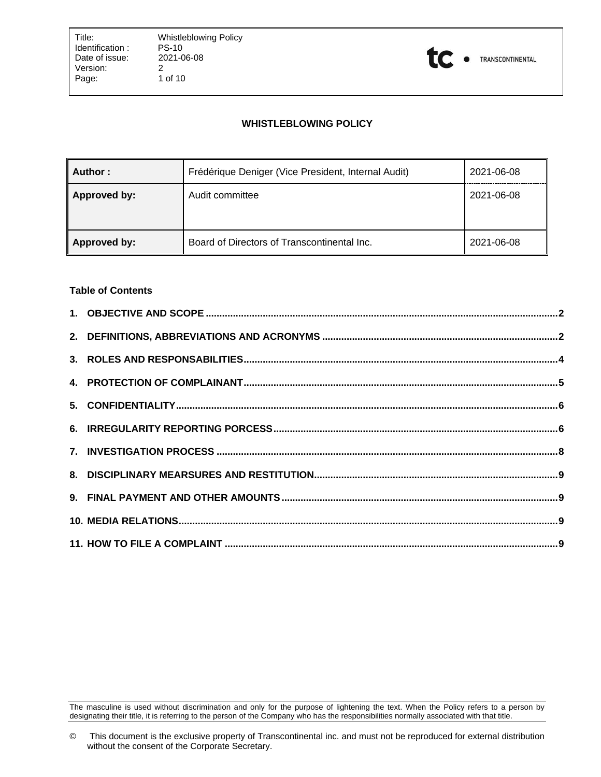

# **WHISTLEBLOWING POLICY**

| Author :     | Frédérique Deniger (Vice President, Internal Audit) | 2021-06-08 |
|--------------|-----------------------------------------------------|------------|
| Approved by: | Audit committee                                     | 2021-06-08 |
| Approved by: | Board of Directors of Transcontinental Inc.         | 2021-06-08 |

### **Table of Contents**

The masculine is used without discrimination and only for the purpose of lightening the text. When the Policy refers to a person by designating their title, it is referring to the person of the Company who has the responsibilities normally associated with that title.

<sup>©</sup> This document is the exclusive property of Transcontinental inc. and must not be reproduced for external distribution without the consent of the Corporate Secretary.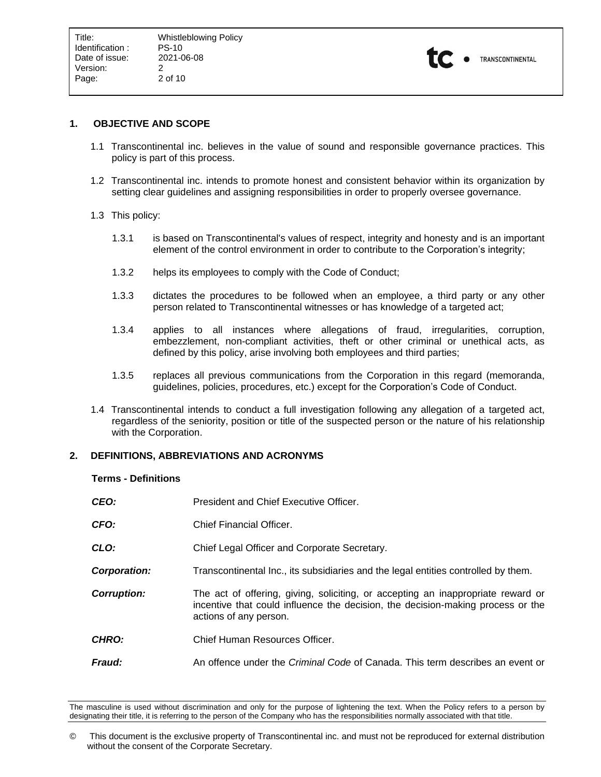

## <span id="page-1-0"></span>**1. OBJECTIVE AND SCOPE**

- 1.1 Transcontinental inc. believes in the value of sound and responsible governance practices. This policy is part of this process.
- 1.2 Transcontinental inc. intends to promote honest and consistent behavior within its organization by setting clear guidelines and assigning responsibilities in order to properly oversee governance.
- 1.3 This policy:
	- 1.3.1 is based on Transcontinental's values of respect, integrity and honesty and is an important element of the control environment in order to contribute to the Corporation's integrity;
	- 1.3.2 helps its employees to comply with the Code of Conduct;
	- 1.3.3 dictates the procedures to be followed when an employee, a third party or any other person related to Transcontinental witnesses or has knowledge of a targeted act;
	- 1.3.4 applies to all instances where allegations of fraud, irregularities, corruption, embezzlement, non-compliant activities, theft or other criminal or unethical acts, as defined by this policy, arise involving both employees and third parties;
	- 1.3.5 replaces all previous communications from the Corporation in this regard (memoranda, guidelines, policies, procedures, etc.) except for the Corporation's Code of Conduct.
- 1.4 Transcontinental intends to conduct a full investigation following any allegation of a targeted act, regardless of the seniority, position or title of the suspected person or the nature of his relationship with the Corporation.

## <span id="page-1-1"></span>**2. DEFINITIONS, ABBREVIATIONS AND ACRONYMS**

#### **Terms - Definitions**

| CEO:               | President and Chief Executive Officer.                                                                                                                                                        |
|--------------------|-----------------------------------------------------------------------------------------------------------------------------------------------------------------------------------------------|
| CFO:               | <b>Chief Financial Officer.</b>                                                                                                                                                               |
| CLO:               | Chief Legal Officer and Corporate Secretary.                                                                                                                                                  |
| Corporation:       | Transcontinental Inc., its subsidiaries and the legal entities controlled by them.                                                                                                            |
| <b>Corruption:</b> | The act of offering, giving, soliciting, or accepting an inappropriate reward or<br>incentive that could influence the decision, the decision-making process or the<br>actions of any person. |
| <b>CHRO:</b>       | Chief Human Resources Officer.                                                                                                                                                                |
| <b>Fraud:</b>      | An offence under the <i>Criminal Code</i> of Canada. This term describes an event or                                                                                                          |

The masculine is used without discrimination and only for the purpose of lightening the text. When the Policy refers to a person by designating their title, it is referring to the person of the Company who has the responsibilities normally associated with that title.

<sup>©</sup> This document is the exclusive property of Transcontinental inc. and must not be reproduced for external distribution without the consent of the Corporate Secretary.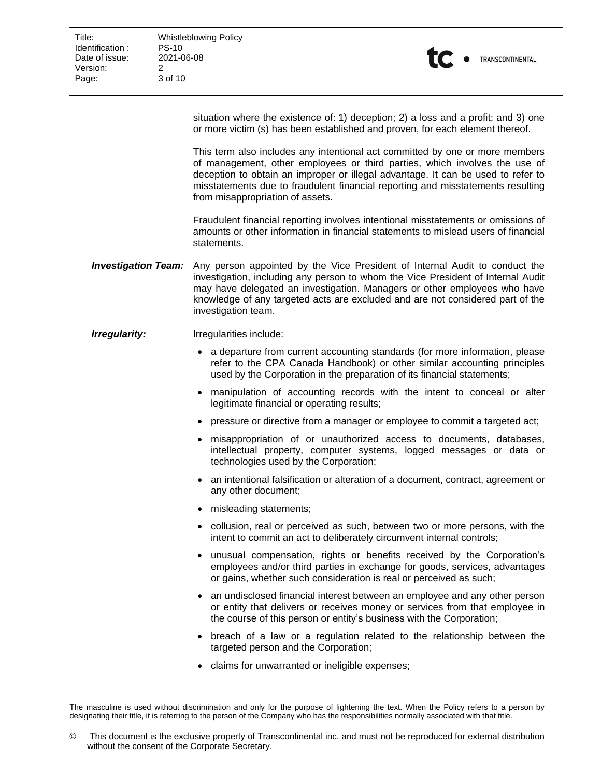Title: Whistleblowing Policy<br>
Identification: PS-10 3 of 10



situation where the existence of: 1) deception; 2) a loss and a profit; and 3) one or more victim (s) has been established and proven, for each element thereof.

This term also includes any intentional act committed by one or more members of management, other employees or third parties, which involves the use of deception to obtain an improper or illegal advantage. It can be used to refer to misstatements due to fraudulent financial reporting and misstatements resulting from misappropriation of assets.

Fraudulent financial reporting involves intentional misstatements or omissions of amounts or other information in financial statements to mislead users of financial statements.

- *Investigation Team:* Any person appointed by the Vice President of Internal Audit to conduct the investigation, including any person to whom the Vice President of Internal Audit may have delegated an investigation. Managers or other employees who have knowledge of any targeted acts are excluded and are not considered part of the investigation team.
- *Irregularity:* Irregularities include:
	- a departure from current accounting standards (for more information, please refer to the CPA Canada Handbook) or other similar accounting principles used by the Corporation in the preparation of its financial statements;
	- manipulation of accounting records with the intent to conceal or alter legitimate financial or operating results;
	- pressure or directive from a manager or employee to commit a targeted act;
	- misappropriation of or unauthorized access to documents, databases, intellectual property, computer systems, logged messages or data or technologies used by the Corporation;
	- an intentional falsification or alteration of a document, contract, agreement or any other document;
	- misleading statements;
	- collusion, real or perceived as such, between two or more persons, with the intent to commit an act to deliberately circumvent internal controls;
	- unusual compensation, rights or benefits received by the Corporation's employees and/or third parties in exchange for goods, services, advantages or gains, whether such consideration is real or perceived as such;
	- an undisclosed financial interest between an employee and any other person or entity that delivers or receives money or services from that employee in the course of this person or entity's business with the Corporation;
	- breach of a law or a regulation related to the relationship between the targeted person and the Corporation;
	- claims for unwarranted or ineligible expenses;

The masculine is used without discrimination and only for the purpose of lightening the text. When the Policy refers to a person by designating their title, it is referring to the person of the Company who has the responsibilities normally associated with that title.

<sup>©</sup> This document is the exclusive property of Transcontinental inc. and must not be reproduced for external distribution without the consent of the Corporate Secretary.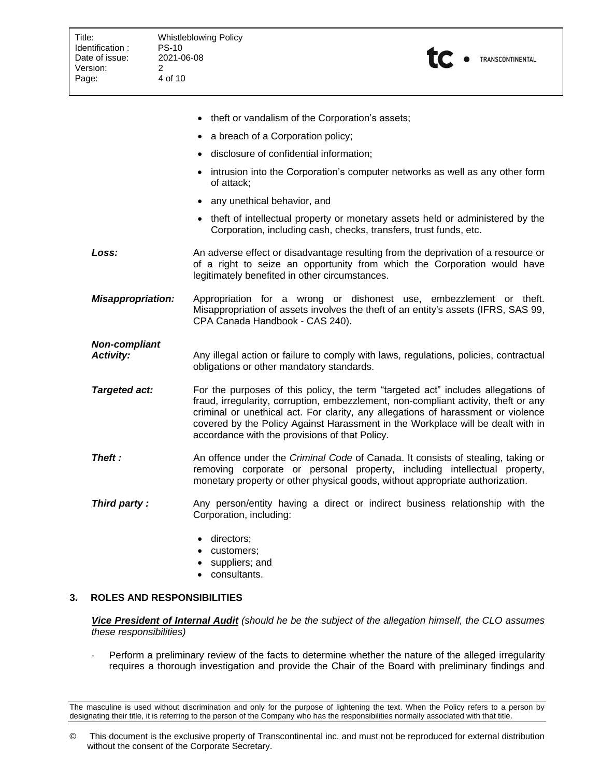| <b>Whistleblowing Policy</b><br><b>PS-10</b><br>2021-06-08<br>2<br>4 of 10                                                                         |
|----------------------------------------------------------------------------------------------------------------------------------------------------|
|                                                                                                                                                    |
| • theft or vandalism of the Corporation's assets;                                                                                                  |
| a breach of a Corporation policy;                                                                                                                  |
| disclosure of confidential information;                                                                                                            |
| intrusion into the Corporation's computer networks as well as any other form<br>of attack;                                                         |
| any unethical behavior, and                                                                                                                        |
| theft of intellectual property or monetary assets held or administered by the<br>Corporation, including cash, checks, transfers, trust funds, etc. |
|                                                                                                                                                    |

- **Loss:** An adverse effect or disadvantage resulting from the deprivation of a resource or of a right to seize an opportunity from which the Corporation would have legitimately benefited in other circumstances.
- *Misappropriation:* Appropriation for a wrong or dishonest use, embezzlement or theft. Misappropriation of assets involves the theft of an entity's assets (IFRS, SAS 99, CPA Canada Handbook - CAS 240).

# *Non-compliant*

- *Activity:* Any illegal action or failure to comply with laws, regulations, policies, contractual obligations or other mandatory standards.
- **Targeted act:** For the purposes of this policy, the term "targeted act" includes allegations of fraud, irregularity, corruption, embezzlement, non-compliant activity, theft or any criminal or unethical act. For clarity, any allegations of harassment or violence covered by the Policy Against Harassment in the Workplace will be dealt with in accordance with the provisions of that Policy.
- **Theft :** An offence under the *Criminal Code* of Canada. It consists of stealing, taking or removing corporate or personal property, including intellectual property, monetary property or other physical goods, without appropriate authorization.
- **Third party :** Any person/entity having a direct or indirect business relationship with the Corporation, including:
	- directors;
	- customers;
	- suppliers; and
	- consultants.

# <span id="page-3-0"></span>**3. ROLES AND RESPONSIBILITIES**

*Vice President of Internal Audit (should he be the subject of the allegation himself, the CLO assumes these responsibilities)*

- Perform a preliminary review of the facts to determine whether the nature of the alleged irregularity requires a thorough investigation and provide the Chair of the Board with preliminary findings and

The masculine is used without discrimination and only for the purpose of lightening the text. When the Policy refers to a person by designating their title, it is referring to the person of the Company who has the responsibilities normally associated with that title.

<sup>©</sup> This document is the exclusive property of Transcontinental inc. and must not be reproduced for external distribution without the consent of the Corporate Secretary.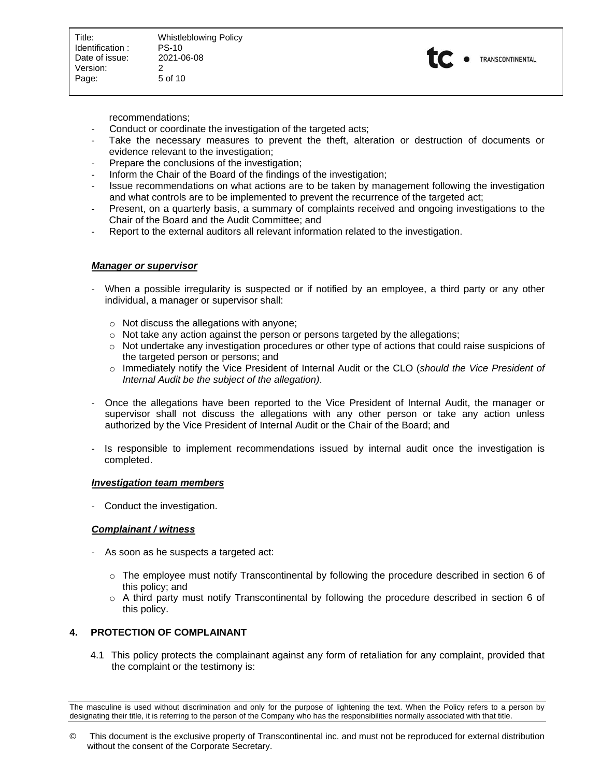Title: Whistleblowing Policy<br>
Identification: PS-10 5 of 10



recommendations;

- Conduct or coordinate the investigation of the targeted acts;
- Take the necessary measures to prevent the theft, alteration or destruction of documents or evidence relevant to the investigation;
- Prepare the conclusions of the investigation;
- Inform the Chair of the Board of the findings of the investigation;
- Issue recommendations on what actions are to be taken by management following the investigation and what controls are to be implemented to prevent the recurrence of the targeted act;
- Present, on a quarterly basis, a summary of complaints received and ongoing investigations to the Chair of the Board and the Audit Committee; and
- Report to the external auditors all relevant information related to the investigation.

## *Manager or supervisor*

- When a possible irregularity is suspected or if notified by an employee, a third party or any other individual, a manager or supervisor shall:
	- $\circ$  Not discuss the allegations with anyone;
	- $\circ$  Not take any action against the person or persons targeted by the allegations;
	- $\circ$  Not undertake any investigation procedures or other type of actions that could raise suspicions of the targeted person or persons; and
	- o Immediately notify the Vice President of Internal Audit or the CLO (*should the Vice President of Internal Audit be the subject of the allegation)*.
- Once the allegations have been reported to the Vice President of Internal Audit, the manager or supervisor shall not discuss the allegations with any other person or take any action unless authorized by the Vice President of Internal Audit or the Chair of the Board; and
- Is responsible to implement recommendations issued by internal audit once the investigation is completed.

## *Investigation team members*

- Conduct the investigation.

## *Complainant / witness*

- As soon as he suspects a targeted act:
	- $\circ$  The employee must notify Transcontinental by following the procedure described in section 6 of this policy; and
	- o A third party must notify Transcontinental by following the procedure described in section 6 of this policy.

# <span id="page-4-0"></span>**4. PROTECTION OF COMPLAINANT**

4.1 This policy protects the complainant against any form of retaliation for any complaint, provided that the complaint or the testimony is:

The masculine is used without discrimination and only for the purpose of lightening the text. When the Policy refers to a person by designating their title, it is referring to the person of the Company who has the responsibilities normally associated with that title.

<sup>©</sup> This document is the exclusive property of Transcontinental inc. and must not be reproduced for external distribution without the consent of the Corporate Secretary.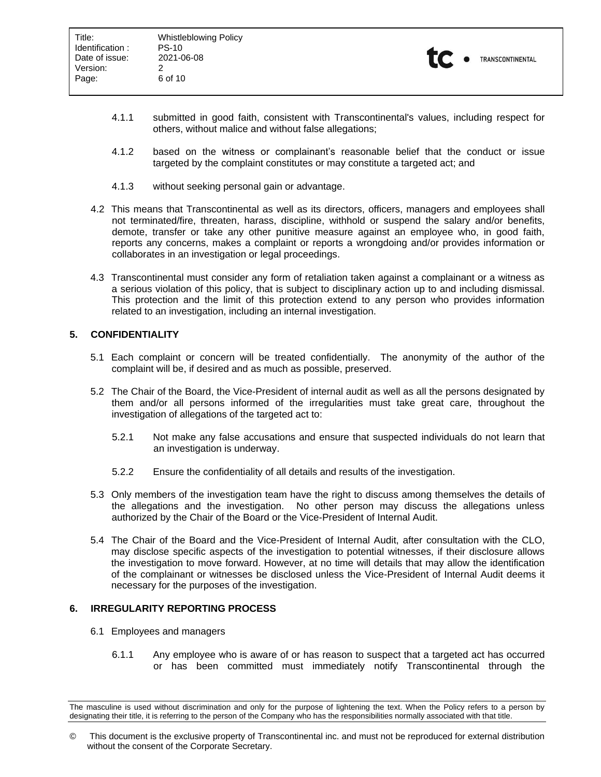

- 4.1.1 submitted in good faith, consistent with Transcontinental's values, including respect for others, without malice and without false allegations;
- 4.1.2 based on the witness or complainant's reasonable belief that the conduct or issue targeted by the complaint constitutes or may constitute a targeted act; and
- 4.1.3 without seeking personal gain or advantage.
- 4.2 This means that Transcontinental as well as its directors, officers, managers and employees shall not terminated/fire, threaten, harass, discipline, withhold or suspend the salary and/or benefits, demote, transfer or take any other punitive measure against an employee who, in good faith, reports any concerns, makes a complaint or reports a wrongdoing and/or provides information or collaborates in an investigation or legal proceedings.
- 4.3 Transcontinental must consider any form of retaliation taken against a complainant or a witness as a serious violation of this policy, that is subject to disciplinary action up to and including dismissal. This protection and the limit of this protection extend to any person who provides information related to an investigation, including an internal investigation.

## <span id="page-5-0"></span>**5. CONFIDENTIALITY**

- 5.1 Each complaint or concern will be treated confidentially. The anonymity of the author of the complaint will be, if desired and as much as possible, preserved.
- 5.2 The Chair of the Board, the Vice-President of internal audit as well as all the persons designated by them and/or all persons informed of the irregularities must take great care, throughout the investigation of allegations of the targeted act to:
	- 5.2.1 Not make any false accusations and ensure that suspected individuals do not learn that an investigation is underway.
	- 5.2.2 Ensure the confidentiality of all details and results of the investigation.
- 5.3 Only members of the investigation team have the right to discuss among themselves the details of the allegations and the investigation. No other person may discuss the allegations unless authorized by the Chair of the Board or the Vice-President of Internal Audit.
- 5.4 The Chair of the Board and the Vice-President of Internal Audit, after consultation with the CLO, may disclose specific aspects of the investigation to potential witnesses, if their disclosure allows the investigation to move forward. However, at no time will details that may allow the identification of the complainant or witnesses be disclosed unless the Vice-President of Internal Audit deems it necessary for the purposes of the investigation.

## <span id="page-5-1"></span>**6. IRREGULARITY REPORTING PROCESS**

- 6.1 Employees and managers
	- 6.1.1 Any employee who is aware of or has reason to suspect that a targeted act has occurred or has been committed must immediately notify Transcontinental through the

The masculine is used without discrimination and only for the purpose of lightening the text. When the Policy refers to a person by designating their title, it is referring to the person of the Company who has the responsibilities normally associated with that title.

<sup>©</sup> This document is the exclusive property of Transcontinental inc. and must not be reproduced for external distribution without the consent of the Corporate Secretary.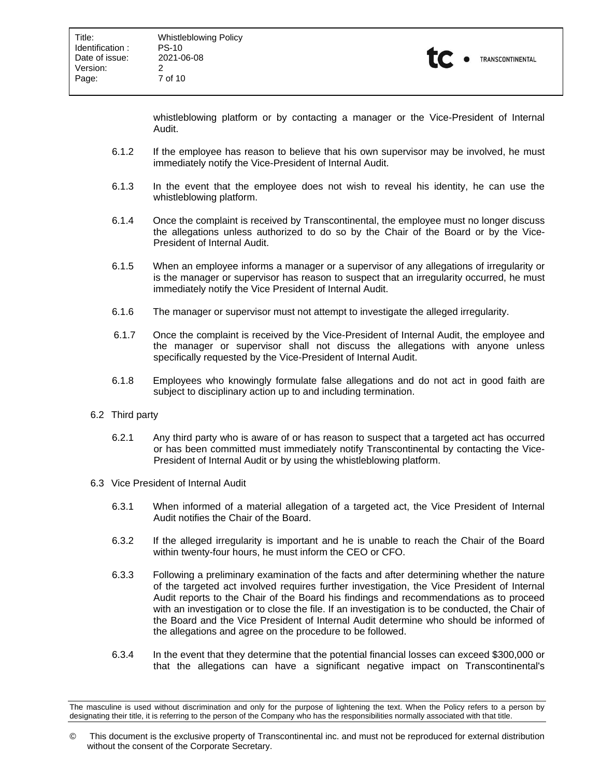

whistleblowing platform or by contacting a manager or the Vice-President of Internal Audit.

- 6.1.2 If the employee has reason to believe that his own supervisor may be involved, he must immediately notify the Vice-President of Internal Audit.
- 6.1.3 In the event that the employee does not wish to reveal his identity, he can use the whistleblowing platform.
- 6.1.4 Once the complaint is received by Transcontinental, the employee must no longer discuss the allegations unless authorized to do so by the Chair of the Board or by the Vice-President of Internal Audit.
- 6.1.5 When an employee informs a manager or a supervisor of any allegations of irregularity or is the manager or supervisor has reason to suspect that an irregularity occurred, he must immediately notify the Vice President of Internal Audit.
- 6.1.6 The manager or supervisor must not attempt to investigate the alleged irregularity.
- 6.1.7 Once the complaint is received by the Vice-President of Internal Audit, the employee and the manager or supervisor shall not discuss the allegations with anyone unless specifically requested by the Vice-President of Internal Audit.
- 6.1.8 Employees who knowingly formulate false allegations and do not act in good faith are subject to disciplinary action up to and including termination.
- 6.2 Third party
	- 6.2.1 Any third party who is aware of or has reason to suspect that a targeted act has occurred or has been committed must immediately notify Transcontinental by contacting the Vice-President of Internal Audit or by using the whistleblowing platform.
- 6.3 Vice President of Internal Audit
	- 6.3.1 When informed of a material allegation of a targeted act, the Vice President of Internal Audit notifies the Chair of the Board.
	- 6.3.2 If the alleged irregularity is important and he is unable to reach the Chair of the Board within twenty-four hours, he must inform the CEO or CFO.
	- 6.3.3 Following a preliminary examination of the facts and after determining whether the nature of the targeted act involved requires further investigation, the Vice President of Internal Audit reports to the Chair of the Board his findings and recommendations as to proceed with an investigation or to close the file. If an investigation is to be conducted, the Chair of the Board and the Vice President of Internal Audit determine who should be informed of the allegations and agree on the procedure to be followed.
	- 6.3.4 In the event that they determine that the potential financial losses can exceed \$300,000 or that the allegations can have a significant negative impact on Transcontinental's

The masculine is used without discrimination and only for the purpose of lightening the text. When the Policy refers to a person by designating their title, it is referring to the person of the Company who has the responsibilities normally associated with that title.

<sup>©</sup> This document is the exclusive property of Transcontinental inc. and must not be reproduced for external distribution without the consent of the Corporate Secretary.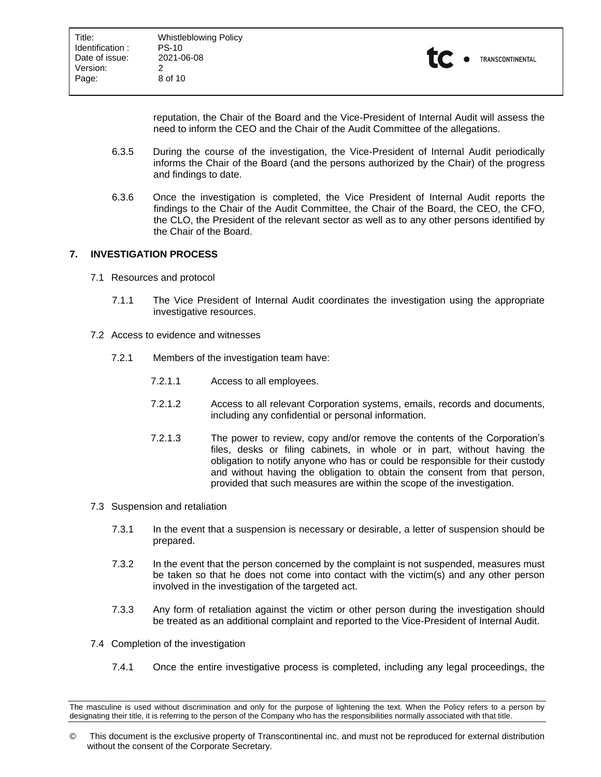

reputation, the Chair of the Board and the Vice-President of Internal Audit will assess the need to inform the CEO and the Chair of the Audit Committee of the allegations.

- 6.3.5 During the course of the investigation, the Vice-President of Internal Audit periodically informs the Chair of the Board (and the persons authorized by the Chair) of the progress and findings to date.
- 6.3.6 Once the investigation is completed, the Vice President of Internal Audit reports the findings to the Chair of the Audit Committee, the Chair of the Board, the CEO, the CFO, the CLO, the President of the relevant sector as well as to any other persons identified by the Chair of the Board.

## <span id="page-7-0"></span>**7. INVESTIGATION PROCESS**

- 7.1 Resources and protocol
	- 7.1.1 The Vice President of Internal Audit coordinates the investigation using the appropriate investigative resources.
- 7.2 Access to evidence and witnesses
	- 7.2.1 Members of the investigation team have:
		- 7.2.1.1 Access to all employees.
		- 7.2.1.2 Access to all relevant Corporation systems, emails, records and documents, including any confidential or personal information.
		- 7.2.1.3 The power to review, copy and/or remove the contents of the Corporation's files, desks or filing cabinets, in whole or in part, without having the obligation to notify anyone who has or could be responsible for their custody and without having the obligation to obtain the consent from that person, provided that such measures are within the scope of the investigation.
- 7.3 Suspension and retaliation
	- 7.3.1 In the event that a suspension is necessary or desirable, a letter of suspension should be prepared.
	- 7.3.2 In the event that the person concerned by the complaint is not suspended, measures must be taken so that he does not come into contact with the victim(s) and any other person involved in the investigation of the targeted act.
	- 7.3.3 Any form of retaliation against the victim or other person during the investigation should be treated as an additional complaint and reported to the Vice-President of Internal Audit.
- 7.4 Completion of the investigation
	- 7.4.1 Once the entire investigative process is completed, including any legal proceedings, the

The masculine is used without discrimination and only for the purpose of lightening the text. When the Policy refers to a person by designating their title, it is referring to the person of the Company who has the responsibilities normally associated with that title.

<sup>©</sup> This document is the exclusive property of Transcontinental inc. and must not be reproduced for external distribution without the consent of the Corporate Secretary.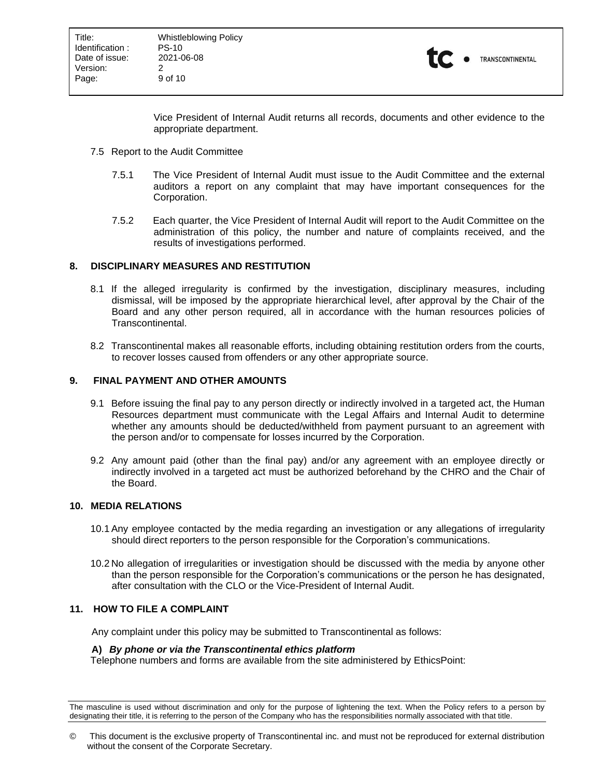

Vice President of Internal Audit returns all records, documents and other evidence to the appropriate department.

- 7.5 Report to the Audit Committee
	- 7.5.1 The Vice President of Internal Audit must issue to the Audit Committee and the external auditors a report on any complaint that may have important consequences for the Corporation.
	- 7.5.2 Each quarter, the Vice President of Internal Audit will report to the Audit Committee on the administration of this policy, the number and nature of complaints received, and the results of investigations performed.

#### <span id="page-8-0"></span>**8. DISCIPLINARY MEASURES AND RESTITUTION**

- 8.1 If the alleged irregularity is confirmed by the investigation, disciplinary measures, including dismissal, will be imposed by the appropriate hierarchical level, after approval by the Chair of the Board and any other person required, all in accordance with the human resources policies of Transcontinental.
- 8.2 Transcontinental makes all reasonable efforts, including obtaining restitution orders from the courts, to recover losses caused from offenders or any other appropriate source.

#### <span id="page-8-1"></span>**9. FINAL PAYMENT AND OTHER AMOUNTS**

- 9.1 Before issuing the final pay to any person directly or indirectly involved in a targeted act, the Human Resources department must communicate with the Legal Affairs and Internal Audit to determine whether any amounts should be deducted/withheld from payment pursuant to an agreement with the person and/or to compensate for losses incurred by the Corporation.
- 9.2 Any amount paid (other than the final pay) and/or any agreement with an employee directly or indirectly involved in a targeted act must be authorized beforehand by the CHRO and the Chair of the Board.

## <span id="page-8-2"></span>**10. MEDIA RELATIONS**

- 10.1 Any employee contacted by the media regarding an investigation or any allegations of irregularity should direct reporters to the person responsible for the Corporation's communications.
- 10.2 No allegation of irregularities or investigation should be discussed with the media by anyone other than the person responsible for the Corporation's communications or the person he has designated, after consultation with the CLO or the Vice-President of Internal Audit.

#### <span id="page-8-3"></span>**11. HOW TO FILE A COMPLAINT**

Any complaint under this policy may be submitted to Transcontinental as follows:

#### **A)** *By phone or via the Transcontinental ethics platform*

Telephone numbers and forms are available from the site administered by EthicsPoint:

The masculine is used without discrimination and only for the purpose of lightening the text. When the Policy refers to a person by designating their title, it is referring to the person of the Company who has the responsibilities normally associated with that title.

<sup>©</sup> This document is the exclusive property of Transcontinental inc. and must not be reproduced for external distribution without the consent of the Corporate Secretary.